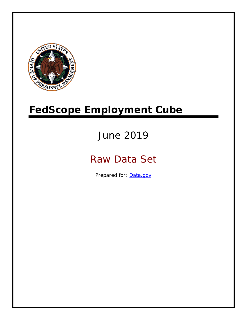

# **FedScope Employment Cube**

# June 2019

# Raw Data Set

Prepared for: [Data.gov](http://www.data.gov/)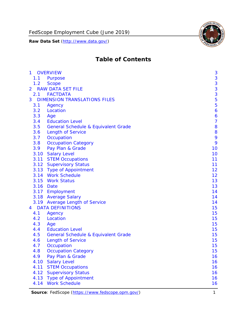

# **Table of Contents**

| $\mathbf{1}$   | <b>OVERVIEW</b>                                | 3              |
|----------------|------------------------------------------------|----------------|
| 1.1            | <b>Purpose</b>                                 | 3              |
| 1.2            | <b>Scope</b>                                   | 3              |
| $\overline{2}$ | <b>RAW DATA SET FILE</b>                       | 3              |
| 2.1            | <b>FACTDATA</b>                                | 3              |
| 3              | <b>DIMENSION TRANSLATIONS FILES</b>            | 5              |
| 3.1            | Agency                                         | 5              |
| 3.2            | Location                                       | 6              |
| 3.3            | Age                                            | 6              |
| 3.4            | <b>Education Level</b>                         | $\overline{7}$ |
| 3.5            | <b>General Schedule &amp; Equivalent Grade</b> | 8              |
| 3.6            | <b>Length of Service</b>                       | 8              |
| 3.7            | Occupation                                     | 9              |
| 3.8            | <b>Occupation Category</b>                     | 9              |
| 3.9            | Pay Plan & Grade                               | 10             |
| 3.10           | <b>Salary Level</b>                            | 10             |
|                | 3.11 STEM Occupations                          | 11             |
|                | 3.12 Supervisory Status                        | 11             |
|                | 3.13 Type of Appointment                       | 12             |
|                | 3.14 Work Schedule                             | 12             |
|                | 3.15 Work Status                               | 13             |
|                | 3.16 Date                                      | 13             |
|                | 3.17 Employment                                | 14             |
|                | 3.18 Average Salary                            | 14             |
|                | 3.19 Average Length of Service                 | 14             |
| 4              | <b>DATA DEFINITIONS</b>                        | 15             |
| 4.1            | Agency                                         | 15             |
| 4.2            | Location                                       | 15             |
| 4.3            | Age                                            | 15             |
| 4.4            | <b>Education Level</b>                         | 15             |
| 4.5            | <b>General Schedule &amp; Equivalent Grade</b> | 15             |
| 4.6            | <b>Length of Service</b>                       | 15             |
| 4.7            | Occupation                                     | 15             |
| 4.8            | <b>Occupation Category</b>                     | 15             |
| 4.9            | Pay Plan & Grade                               | 16             |
| 4.10           | <b>Salary Level</b>                            | 16             |
| 4.11           | <b>STEM Occupations</b>                        | 16             |
| 4.12           | <b>Supervisory Status</b>                      | 16             |
| 4.13           | <b>Type of Appointment</b>                     | 16             |
| 4.14           | <b>Work Schedule</b>                           | 16             |

Source: FedScope [\(https://www.fedscope.opm.gov/\)](https://www.fedscope.opm.gov/) 1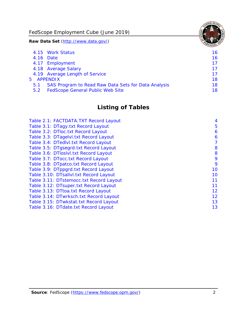FedScope Employment Cube (June 2019)

**Raw Data Set** (http://www.data.gov/)

|               | 4.15 Work Status                                    | 16. |
|---------------|-----------------------------------------------------|-----|
|               | 4.16 Date                                           | 16  |
|               | 4.17 Employment                                     | 17  |
|               | 4.18 Average Salary                                 | 17  |
|               | 4.19 Average Length of Service                      | 17  |
|               | 5 APPENDIX                                          | 18  |
| 5.1           | SAS Program to Read Raw Data Sets for Data Analysis | 18  |
| $5.2^{\circ}$ | <b>FedScope General Public Web Site</b>             | 18  |

# **Listing of Tables**

| Table 2.1: FACTDATA.TXT Record Layout   | 4  |
|-----------------------------------------|----|
| Table 3.1: DTagy.txt Record Layout      | 5  |
| Table 3.2: DTloc.txt Record Layout      | 6  |
| Table 3.3: DTagelvl.txt Record Layout   | 6  |
| Table 3.4: DTedlvl.txt Record Layout    | 7  |
| Table 3.5: DTgsegrd.txt Record Layout   | 8  |
| Table 3.6: DTIoslvI.txt Record Layout   | 8  |
| Table 3.7: DTocc.txt Record Layout      | 9  |
| Table 3.8: DTpatco.txt Record Layout    | 9  |
| Table 3.9: DTppgrd.txt Record Layout    | 10 |
| Table 3.10: DTsallvl.txt Record Layout  | 10 |
| Table 3.11: DTstemocc.txt Record Layout | 11 |
| Table 3.12: DTsuper.txt Record Layout   | 11 |
| Table 3.13: DTtoa.txt Record Layout     | 12 |
| Table 3.14: DTwrksch.txt Record Layout  | 12 |
| Table 3.15: DTwkstat.txt Record Layout  | 13 |
| Table 3.16: DTdate.txt Record Layout    | 13 |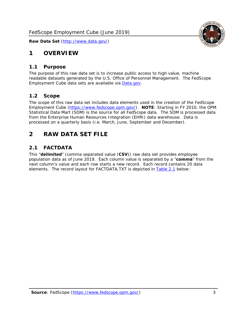

# <span id="page-3-0"></span>**1 OVERVIEW**

#### <span id="page-3-1"></span>*1.1 Purpose*

The purpose of this raw data set is to increase public access to high value, machine readable datasets generated by the U.S. Office of Personnel Management. The FedScope Employment Cube data sets are available via [Data.gov.](http://www.data.gov/)

#### <span id="page-3-2"></span>*1.2 Scope*

The scope of this raw data set includes data elements used in the creation of the FedScope Employment Cube [\(https://www.fedscope.opm.gov/\)](https://www.fedscope.opm.gov/). **NOTE**: Starting in FY 2010, the OPM Statistical Data Mart (SDM) is the source for all FedScope data. The SDM is processed data from the Enterprise Human Resources Integration (EHRI) data warehouse. Data is processed on a quarterly basis (i.e. March, June, September and December).

# <span id="page-3-3"></span>**2 RAW DATA SET FILE**

# <span id="page-3-4"></span>*2.1 FACTDATA*

This "**delimited**" (comma separated value (**CSV**)) raw data set provides employee population data as of June 2019. Each column value is separated by a "**comma**" from the next column's value and each row starts a new record. Each record contains 20 data elements. The record layout for FACTDATA.TXT is depicted in [Table 2.1](#page-4-0) below: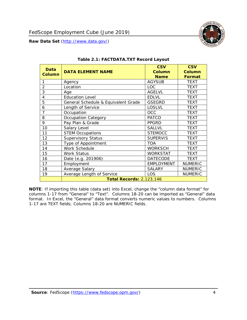

<span id="page-4-0"></span>

**NOTE**: If importing this table (data set) into Excel, change the "column data format" for columns 1-17 from "General" to "Text". Columns 18-20 can be imported as "General" data format. In Excel, the "General" data format converts numeric values to numbers. Columns 1-17 are TEXT fields; Columns 18-20 are NUMERIC fields.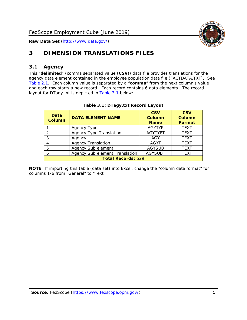

# <span id="page-5-0"></span>**3 DIMENSION TRANSLATIONS FILES**

# <span id="page-5-1"></span>*3.1 Agency*

This "**delimited**" (comma separated value (**CSV**)) data file provides translations for the agency data element contained in the employee population data file (FACTDATA.TXT). See [Table 2.1.](#page-4-0) Each column value is separated by a "**comma**" from the next column's value and each row starts a new record. Each record contains 6 data elements. The record layout for DTagy.txt is depicted in **[Table 3.1](#page-5-2)** below:

<span id="page-5-2"></span>

| Data<br><b>Column</b>     | <b>DATA ELEMENT NAME</b>       | <b>CSV</b><br>Column<br><b>Name</b> | <b>CSV</b><br>Column<br><b>Format</b> |
|---------------------------|--------------------------------|-------------------------------------|---------------------------------------|
|                           | Agency Type                    | <b>AGYTYP</b>                       | <b>TEXT</b>                           |
| 2                         | <b>Agency Type Translation</b> | <b>AGYTYPT</b>                      | <b>TEXT</b>                           |
| 3                         | Agency                         | AGY                                 | <b>TEXT</b>                           |
|                           | <b>Agency Translation</b>      | <b>AGYT</b>                         | <b>TEXT</b>                           |
| 5                         | Agency Sub element             | <b>AGYSUB</b>                       | <b>TEXT</b>                           |
| 6                         | Agency Sub element Translation | <b>AGYSUBT</b>                      | <b>TEXT</b>                           |
| <b>Total Records: 529</b> |                                |                                     |                                       |

#### **Table 3.1: DTagy.txt Record Layout**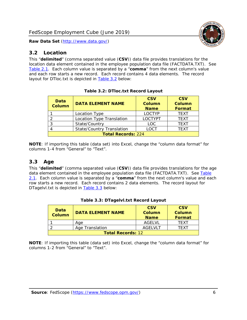#### <span id="page-6-0"></span>*3.2 Location*

This "**delimited**" (comma separated value (**CSV**)) data file provides translations for the location data element contained in the employee population data file (FACTDATA.TXT). See [Table 2.1.](#page-4-0) Each column value is separated by a "**comma**" from the next column's value and each row starts a new record. Each record contains 4 data elements. The record layout for DTloc.txt is depicted in [Table 3.2](#page-6-2) below:

<span id="page-6-2"></span>

| Data<br><b>Column</b>     | <b>DATA ELEMENT NAME</b>         | <b>CSV</b><br>Column<br><b>Name</b> | <b>CSV</b><br><b>Column</b><br><b>Format</b> |  |
|---------------------------|----------------------------------|-------------------------------------|----------------------------------------------|--|
|                           | Location Type                    | <b>LOCTYP</b>                       | <b>TFXT</b>                                  |  |
| ◠                         | Location Type Translation        | <b>LOCTYPT</b>                      | <b>TEXT</b>                                  |  |
| ⌒                         | State/Country                    | <b>LOC</b>                          | <b>TFXT</b>                                  |  |
|                           | <b>State/Country Translation</b> | <b>LOCT</b>                         | <b>TFXT</b>                                  |  |
| <b>Total Records: 224</b> |                                  |                                     |                                              |  |

**Table 3.2: DTloc.txt Record Layout**

**NOTE**: If importing this table (data set) into Excel, change the "column data format" for columns 1-4 from "General" to "Text".

# <span id="page-6-1"></span>*3.3 Age*

This "**delimited**" (comma separated value (**CSV**)) data file provides translations for the age data element contained in the employee population data file (FACTDATA.TXT). See Table [2.1.](#page-4-0) Each column value is separated by a "**comma**" from the next column's value and each row starts a new record. Each record contains 2 data elements. The record layout for DTagelvl.txt is depicted in [Table 3.3](#page-6-3) below:

<span id="page-6-3"></span>

| <b>Data</b><br><b>Column</b> | <b>DATA ELEMENT NAME</b> | <b>CSV</b><br>Column<br><b>Name</b> | <b>CSV</b><br>Column<br>Format |
|------------------------------|--------------------------|-------------------------------------|--------------------------------|
|                              | Aae                      | AGELVL                              | <b>TFXT</b>                    |
|                              | Age Translation          | AGFI VI T                           | TFXT                           |
| <b>Total Records: 12</b>     |                          |                                     |                                |

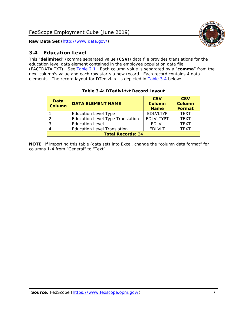

# <span id="page-7-0"></span>*3.4 Education Level*

This "**delimited**" (comma separated value (**CSV**)) data file provides translations for the education level data element contained in the employee population data file (FACTDATA.TXT). See [Table 2.1.](#page-4-0) Each column value is separated by a "**comma**" from the next column's value and each row starts a new record. Each record contains 4 data elements. The record layout for DTedlvl.txt is depicted in [Table 3.4](#page-7-1) below:

<span id="page-7-1"></span>

| Data<br><b>Column</b>    | <b>DATA ELEMENT NAME</b>                | <b>CSV</b><br><b>Column</b><br><b>Name</b> | <b>CSV</b><br><b>Column</b><br><b>Format</b> |
|--------------------------|-----------------------------------------|--------------------------------------------|----------------------------------------------|
|                          | <b>Education Level Type</b>             | <b>EDLVLTYP</b>                            | <b>TEXT</b>                                  |
| っ                        | <b>Education Level Type Translation</b> | <b>EDLVLTYPT</b>                           | <b>TEXT</b>                                  |
| 3                        | <b>Education Level</b>                  | <b>EDLVL</b>                               | <b>TEXT</b>                                  |
|                          | <b>Education Level Translation</b>      | <b>EDLVLT</b>                              | <b>TFXT</b>                                  |
| <b>Total Records: 24</b> |                                         |                                            |                                              |

#### **Table 3.4: DTedlvl.txt Record Layout**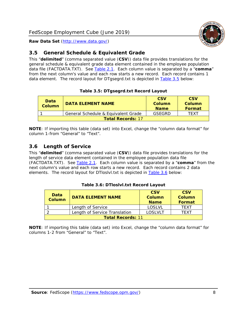

# <span id="page-8-0"></span>*3.5 General Schedule & Equivalent Grade*

This "**delimited**" (comma separated value (**CSV**)) data file provides translations for the general schedule & equivalent grade data element contained in the employee population data file (FACTDATA.TXT). See [Table 2.1.](#page-4-0) Each column value is separated by a "**comma**" from the next column's value and each row starts a new record. Each record contains 1 data element. The record layout for DTgsegrd.txt is depicted in [Table 3.5](#page-8-2) below:

#### **Table 3.5: DTgsegrd.txt Record Layout**

<span id="page-8-2"></span>

| <b>Data</b><br>Column    | DATA FI FMFNT NAMF                  | <b>CSV</b><br>Column<br><b>Name</b> | <b>CSV</b><br>Column<br><b>Format</b> |
|--------------------------|-------------------------------------|-------------------------------------|---------------------------------------|
|                          | General Schedule & Equivalent Grade | GSEGRD                              | TFXT                                  |
| <b>Total Records: 17</b> |                                     |                                     |                                       |

**NOTE**: If importing this table (data set) into Excel, change the "column data format" for column 1-from "General" to "Text".

# <span id="page-8-1"></span>*3.6 Length of Service*

This "**delimited**" (comma separated value (**CSV**)) data file provides translations for the length of service data element contained in the employee population data file (FACTDATA.TXT). See [Table 2.1.](#page-4-0) Each column value is separated by a "**comma**" from the next column's value and each row starts a new record. Each record contains 2 data elements. The record layout for DTloslvl.txt is depicted in [Table 3.6](#page-8-3) below:

#### **Table 3.6: DTloslvl.txt Record Layout**

<span id="page-8-3"></span>

| Data<br><b>Column</b>    | <b>DATA ELEMENT NAME</b>      | <b>CSV</b><br>Column<br><b>Name</b> | <b>CSV</b><br>Column<br>Format |
|--------------------------|-------------------------------|-------------------------------------|--------------------------------|
|                          | Length of Service             | LOSLVL                              | TFXT                           |
|                          | Length of Service Translation | <b>LOSLVLT</b>                      | TFXT                           |
| <b>Total Records: 11</b> |                               |                                     |                                |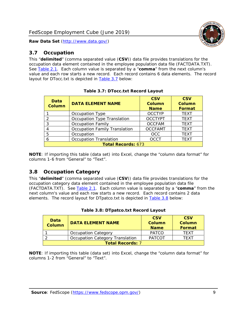# <span id="page-9-0"></span>*3.7 Occupation*

This "**delimited**" (comma separated value (**CSV**)) data file provides translations for the occupation data element contained in the employee population data file (FACTDATA.TXT). See [Table 2.1.](#page-4-0) Each column value is separated by a "**comma**" from the next column's value and each row starts a new record. Each record contains 6 data elements. The record layout for DTocc.txt is depicted in [Table 3.7](#page-9-2) below:

<span id="page-9-2"></span>

| Data<br><b>Column</b>     | <b>DATA ELEMENT NAME</b>             | <b>CSV</b><br><b>Column</b><br><b>Name</b> | <b>CSV</b><br><b>Column</b><br><b>Format</b> |
|---------------------------|--------------------------------------|--------------------------------------------|----------------------------------------------|
|                           | Occupation Type                      | <b>OCCTYP</b>                              | <b>TEXT</b>                                  |
| 2                         | Occupation Type Translation          | <b>OCCTYPT</b>                             | <b>TEXT</b>                                  |
| 3                         | <b>Occupation Family</b>             | <b>OCCFAM</b>                              | <b>TEXT</b>                                  |
| 4                         | <b>Occupation Family Translation</b> | <b>OCCFAMT</b>                             | <b>TEXT</b>                                  |
| 5                         | Occupation                           | <b>OCC</b>                                 | <b>TEXT</b>                                  |
| 6                         | <b>Occupation Translation</b>        | <b>OCCT</b>                                | <b>TEXT</b>                                  |
| <b>Total Records: 673</b> |                                      |                                            |                                              |

**NOTE**: If importing this table (data set) into Excel, change the "column data format" for columns 1-6 from "General" to "Text".

# <span id="page-9-1"></span>*3.8 Occupation Category*

This "**delimited**" (comma separated value (**CSV**)) data file provides translations for the occupation category data element contained in the employee population data file (FACTDATA.TXT). See [Table 2.1.](#page-4-0) Each column value is separated by a "**comma**" from the next column's value and each row starts a new record. Each record contains 2 data elements. The record layout for DTpatco.txt is depicted in [Table 3.8](#page-9-3) below:

<span id="page-9-3"></span>

| Data<br><b>Column</b>   | <b>DATA ELEMENT NAME</b>        | <b>CSV</b><br><b>Column</b><br><b>Name</b> | <b>CSV</b><br>Column<br>Format |
|-------------------------|---------------------------------|--------------------------------------------|--------------------------------|
|                         | <b>Occupation Category</b>      | <b>PATCO</b>                               | <b>TFXT</b>                    |
|                         | Occupation Category Translation | <b>PATCOT</b>                              | <b>TFXT</b>                    |
| <b>Total Records: 7</b> |                                 |                                            |                                |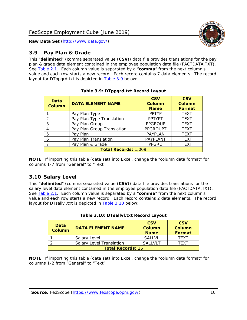

### <span id="page-10-0"></span>*3.9 Pay Plan & Grade*

This "**delimited**" (comma separated value (**CSV**)) data file provides translations for the pay plan & grade data element contained in the employee population data file (FACTDATA.TXT). See [Table 2.1.](#page-4-0) Each column value is separated by a "**comma**" from the next column's value and each row starts a new record. Each record contains 7 data elements. The record layout for DTppgrd.txt is depicted in [Table 3.9](#page-10-2) below:

<span id="page-10-2"></span>

| Data<br><b>Column</b>       | <b>DATA ELEMENT NAME</b>   | <b>CSV</b><br>Column<br><b>Name</b> | <b>CSV</b><br>Column<br>Format |
|-----------------------------|----------------------------|-------------------------------------|--------------------------------|
|                             | Pay Plan Type              | <b>PPTYP</b>                        | <b>TEXT</b>                    |
| $\overline{2}$              | Pay Plan Type Translation  | <b>PPTYPT</b>                       | <b>TEXT</b>                    |
| 3                           | Pay Plan Group             | <b>PPGROUP</b>                      | <b>TEXT</b>                    |
| 4                           | Pay Plan Group Translation | <b>PPGROUPT</b>                     | <b>TEXT</b>                    |
| 5                           | Pay Plan                   | PAYPLAN                             | <b>TEXT</b>                    |
| 6                           | Pay Plan Translation       | PAYPLANT                            | <b>TEXT</b>                    |
| $\overline{\phantom{a}}$    | Pay Plan & Grade           |                                     | <b>TEXT</b>                    |
| <b>Total Records: 1,009</b> |                            |                                     |                                |

**Table 3.9: DTppgrd.txt Record Layout**

**NOTE**: If importing this table (data set) into Excel, change the "column data format" for columns 1-7 from "General" to "Text".

# <span id="page-10-1"></span>*3.10 Salary Level*

This "**delimited**" (comma separated value (**CSV**)) data file provides translations for the salary level data element contained in the employee population data file (FACTDATA.TXT). See [Table 2.1.](#page-4-0) Each column value is separated by a "**comma**" from the next column's value and each row starts a new record. Each record contains 2 data elements. The record layout for DTsallvl.txt is depicted in [Table 3.10](#page-10-3) below:

<span id="page-10-3"></span>

| <b>Data</b><br><b>Column</b> | <b>DATA ELEMENT NAME</b>        | <b>CSV</b><br><b>Column</b><br><b>Name</b> | <b>CSV</b><br>Column<br>Format |
|------------------------------|---------------------------------|--------------------------------------------|--------------------------------|
|                              | Salary Level                    | <b>SALLVL</b>                              | <b>TFXT</b>                    |
|                              | <b>Salary Level Translation</b> | <b>SALLVLT</b>                             | TFXT                           |
| <b>Total Records: 26</b>     |                                 |                                            |                                |

|  | Table 3.10: DTsallvl.txt Record Layout |  |  |
|--|----------------------------------------|--|--|
|--|----------------------------------------|--|--|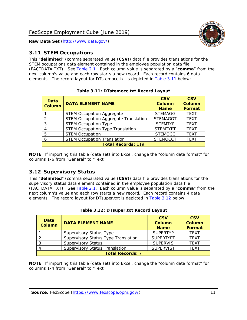

### <span id="page-11-0"></span>*3.11 STEM Occupations*

This "**delimited**" (comma separated value (**CSV**)) data file provides translations for the STEM occupations data element contained in the employee population data file (FACTDATA.TXT). See [Table 2.1.](#page-4-0) Each column value is separated by a "**comma**" from the next column's value and each row starts a new record. Each record contains 6 data elements. The record layout for DTstemocc.txt is depicted in [Table 3.11](#page-11-2) below:

<span id="page-11-2"></span>

| Data<br><b>Column</b>     | <b>DATA ELEMENT NAME</b>                     | <b>CSV</b><br>Column<br><b>Name</b> | <b>CSV</b><br><b>Column</b><br><b>Format</b> |
|---------------------------|----------------------------------------------|-------------------------------------|----------------------------------------------|
|                           | <b>STEM Occupation Aggregate</b>             | <b>STEMAGG</b>                      | <b>TEXT</b>                                  |
| $\mathcal{D}$             | <b>STEM Occupation Aggregate Translation</b> | <b>STEMAGGT</b>                     | <b>TEXT</b>                                  |
| 3                         | <b>STEM Occupation Type</b>                  | <b>STEMTYP</b>                      | <b>TEXT</b>                                  |
|                           | <b>STEM Occupation Type Translation</b>      | <b>STEMTYPT</b>                     | <b>TEXT</b>                                  |
| 5                         | <b>STEM Occupation</b>                       | <b>STEMOCC</b>                      | <b>TEXT</b>                                  |
| 6                         | <b>STEM Occupation Translation</b>           | <b>STEMOCCT</b>                     | <b>TEXT</b>                                  |
| <b>Total Records: 119</b> |                                              |                                     |                                              |

**Table 3.11: DTstemocc.txt Record Layout**

**NOTE**: If importing this table (data set) into Excel, change the "column data format" for columns 1-6 from "General" to "Text".

# <span id="page-11-1"></span>*3.12 Supervisory Status*

This "**delimited**" (comma separated value (**CSV**)) data file provides translations for the supervisory status data element contained in the employee population data file (FACTDATA.TXT). See [Table 2.1.](#page-4-0) Each column value is separated by a "**comma**" from the next column's value and each row starts a new record. Each record contains 4 data elements. The record layout for DTsuper.txt is depicted in [Table 3.12](#page-11-3) below:

<span id="page-11-3"></span>

| Data<br><b>Column</b>   | <b>DATA ELEMENT NAME</b>              | <b>CSV</b><br><b>Column</b><br><b>Name</b> | <b>CSV</b><br><b>Column</b><br>Format |
|-------------------------|---------------------------------------|--------------------------------------------|---------------------------------------|
|                         | <b>Supervisory Status Type</b>        | <b>SUPERTYP</b>                            | <b>TEXT</b>                           |
|                         | Supervisory Status Type Translation   | <b>SUPFRTYPT</b>                           | <b>TEXT</b>                           |
|                         | <b>Supervisory Status</b>             | <b>SUPERVIS</b>                            | <b>TEXT</b>                           |
|                         | <b>Supervisory Status Translation</b> | <b>SUPERVIST</b>                           | <b>TEXT</b>                           |
| <b>Total Records: 7</b> |                                       |                                            |                                       |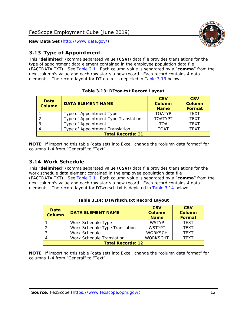

# <span id="page-12-0"></span>*3.13 Type of Appointment*

This "**delimited**" (comma separated value (**CSV**)) data file provides translations for the type of appointment data element contained in the employee population data file (FACTDATA.TXT). See [Table 2.1.](#page-4-0) Each column value is separated by a "**comma**" from the next column's value and each row starts a new record. Each record contains 4 data elements. The record layout for DTtoa.txt is depicted in [Table 3.13](#page-12-2) below:

<span id="page-12-2"></span>

| Data<br><b>Column</b>    | <b>DATA ELEMENT NAME</b>             | <b>CSV</b><br>Column<br><b>Name</b> | <b>CSV</b><br><b>Column</b><br>Format |  |
|--------------------------|--------------------------------------|-------------------------------------|---------------------------------------|--|
|                          | Type of Appointment Type             | <b>TOATYP</b>                       | <b>TEXT</b>                           |  |
|                          | Type of Appointment Type Translation | <b>TOATYPT</b>                      | <b>TEXT</b>                           |  |
|                          | Type of Appointment                  | TOA                                 | <b>TFXT</b>                           |  |
| 4                        | Type of Appointment Translation      | <b>TOAT</b>                         | <b>TFXT</b>                           |  |
| <b>Total Records: 21</b> |                                      |                                     |                                       |  |

|  | Table 3.13: DTtoa.txt Record Layout |  |
|--|-------------------------------------|--|
|  |                                     |  |

**NOTE**: If importing this table (data set) into Excel, change the "column data format" for columns 1-4 from "General" to "Text".

### <span id="page-12-1"></span>*3.14 Work Schedule*

This "**delimited**" (comma separated value (**CSV**)) data file provides translations for the work schedule data element contained in the employee population data file (FACTDATA.TXT). See [Table 2.1.](#page-4-0) Each column value is separated by a "**comma**" from the next column's value and each row starts a new record. Each record contains 4 data elements. The record layout for DTwrksch.txt is depicted in [Table 3.14](#page-12-3) below:

<span id="page-12-3"></span>

| Data<br><b>Column</b>    | <b>DATA ELEMENT NAME</b>       | <b>CSV</b><br>Column<br><b>Name</b> | <b>CSV</b><br>Column<br>Format |
|--------------------------|--------------------------------|-------------------------------------|--------------------------------|
|                          | Work Schedule Type             | <b>WSTYP</b>                        | <b>TFXT</b>                    |
| $\mathcal{L}$            | Work Schedule Type Translation | <b>WSTYPT</b>                       | <b>TEXT</b>                    |
| -3                       | Work Schedule                  | <b>WORKSCH</b>                      | <b>TFXT</b>                    |
|                          | Work Schedule Translation      | <b>WORKSCHT</b>                     | <b>TEXT</b>                    |
| <b>Total Records: 12</b> |                                |                                     |                                |

| Table 3.14: DTwrksch.txt Record Layout |  |
|----------------------------------------|--|
|----------------------------------------|--|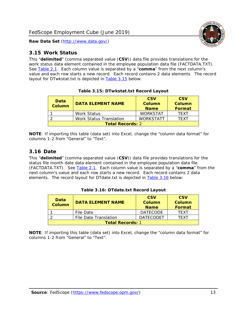<span id="page-13-0"></span>

This "**delimited**" (comma separated value (**CSV**)) data file provides translations for the work status data element contained in the employee population data file (FACTDATA.TXT). See [Table 2.1.](#page-4-0) Each column value is separated by a "**comma**" from the next column's value and each row starts a new record. Each record contains 2 data elements. The record layout for DTwkstat.txt is depicted in [Table 3.15](#page-13-2) below:

<span id="page-13-2"></span>

| Data<br><b>Column</b>   | <b>DATA ELEMENT NAME</b> | <b>CSV</b><br><b>Column</b><br><b>Name</b> | <b>CSV</b><br>Column<br>Format |  |
|-------------------------|--------------------------|--------------------------------------------|--------------------------------|--|
|                         | <b>Work Status</b>       | <b>WORKSTAT</b>                            | <b>TFXT</b>                    |  |
|                         | Work Status Translation  | <b>WORKSTATT</b>                           | TFXT                           |  |
| <b>Total Records: 2</b> |                          |                                            |                                |  |

**Table 3.15: DTwkstat.txt Record Layout**

**NOTE**: If importing this table (data set) into Excel, change the "column data format" for columns 1-2 from "General" to "Text".

#### <span id="page-13-1"></span>*3.16 Date*

This "**delimited**" (comma separated value (**CSV**)) data file provides translations for the status file month date data element contained in the employee population data file (FACTDATA.TXT). See [Table 2.1.](#page-4-0) Each column value is separated by a "**comma**" from the next column's value and each row starts a new record. Each record contains 2 data elements. The record layout for DTdate.txt is depicted in [Table 3.16](#page-13-3) below:

<span id="page-13-3"></span>

| Data<br><b>Column</b>   | <b>DATA ELEMENT NAME</b> | <b>CSV</b><br>Column<br><b>Name</b> | <b>CSV</b><br><b>Column</b><br>Format |  |
|-------------------------|--------------------------|-------------------------------------|---------------------------------------|--|
|                         | File Date                | <b>DATECODE</b>                     | <b>TFXT</b>                           |  |
|                         | File Date Translation    | <b>DATECODET</b>                    | TFXT                                  |  |
| <b>Total Records: 1</b> |                          |                                     |                                       |  |

**Table 3.16: DTdate.txt Record Layout**

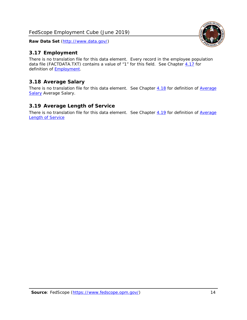# <span id="page-14-0"></span>*3.17 Employment*

There is no translation file for this data element. Every record in the employee population data file (FACTDATA.TXT) contains a value of "1" for this field. See Chapter [4.17](#page-16-8) for definition of [Employment.](#page-17-0)

# <span id="page-14-1"></span>*3.18 Average Salary*

There is no translation file for this data element. See Chapter [4.18](#page-17-1) for definition of Average [Salary](#page-17-1) [Average Salary.](#page-17-1)

#### <span id="page-14-2"></span>*3.19 Average Length of Service*

There is no translation file for this data element. See Chapter [4.19](#page-17-2) for definition of Average **[Length of Service](#page-17-2)** 

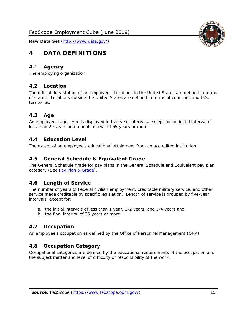<span id="page-15-0"></span>

#### <span id="page-15-1"></span>*4.1 Agency*

<span id="page-15-2"></span>The employing organization.

#### *4.2 Location*

The official duty station of an employee. Locations in the United States are defined in terms of states. Locations outside the United States are defined in terms of countries and U.S. territories.

#### <span id="page-15-3"></span>*4.3 Age*

An employee's age. Age is displayed in five-year intervals, except for an initial interval of less than 20 years and a final interval of 65 years or more.

#### <span id="page-15-4"></span>*4.4 Education Level*

<span id="page-15-5"></span>The extent of an employee's educational attainment from an accredited institution.

#### *4.5 General Schedule & Equivalent Grade*

The General Schedule grade for pay plans in the General Schedule and Equivalent pay plan category (See [Pay Plan & Grade\)](#page-16-0).

#### <span id="page-15-6"></span>*4.6 Length of Service*

The number of years of Federal civilian employment, creditable military service, and other service made creditable by specific legislation. Length of service is grouped by five-year intervals, except for:

- a. the initial intervals of less than 1 year, 1-2 years, and 3-4 years and
- b. the final interval of 35 years or more.

#### <span id="page-15-7"></span>*4.7 Occupation*

<span id="page-15-8"></span>An employee's occupation as defined by the Office of Personnel Management (OPM).

#### *4.8 Occupation Category*

Occupational categories are defined by the educational requirements of the occupation and the subject matter and level of difficulty or responsibility of the work.

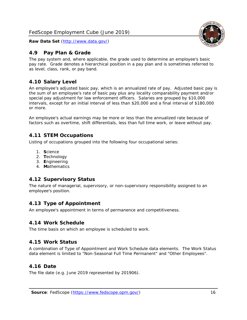

#### <span id="page-16-0"></span>*4.9 Pay Plan & Grade*

The pay system and, where applicable, the grade used to determine an employee's basic pay rate. Grade denotes a hierarchical position in a pay plan and is sometimes referred to as level, class, rank, or pay band.

# <span id="page-16-1"></span>*4.10 Salary Level*

An employee's adjusted basic pay, which is an annualized rate of pay. Adjusted basic pay is the sum of an employee's rate of basic pay plus any locality comparability payment and/or special pay adjustment for law enforcement officers. Salaries are grouped by \$10,000 intervals, except for an initial interval of less than \$20,000 and a final interval of \$180,000 or more.

An employee's actual earnings may be more or less than the annualized rate because of factors such as overtime, shift differentials, less than full time work, or leave without pay.

#### <span id="page-16-2"></span>*4.11 STEM Occupations*

Listing of occupations grouped into the following four occupational series:

- 1. **S**cience
- 2. **T**echnology
- 3. **E**ngineering
- 4. **M**athematics

# <span id="page-16-3"></span>*4.12 Supervisory Status*

The nature of managerial, supervisory, or non-supervisory responsibility assigned to an employee's position.

#### <span id="page-16-4"></span>*4.13 Type of Appointment*

<span id="page-16-5"></span>An employee's appointment in terms of permanence and competitiveness.

#### *4.14 Work Schedule*

<span id="page-16-6"></span>The time basis on which an employee is scheduled to work.

#### *4.15 Work Status*

A combination of Type of Appointment and Work Schedule data elements. The Work Status data element is limited to "Non-Seasonal Full Time Permanent" and "Other Employees".

#### <span id="page-16-7"></span>*4.16 Date*

<span id="page-16-8"></span>The file date (e.g. June 2019 represented by 201906).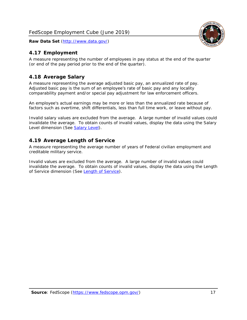# <span id="page-17-0"></span>*4.17 Employment*

A measure representing the number of employees in pay status at the end of the quarter (or end of the pay period prior to the end of the quarter).

# <span id="page-17-1"></span>*4.18 Average Salary*

A measure representing the average adjusted basic pay, an annualized rate of pay. Adjusted basic pay is the sum of an employee's rate of basic pay and any locality comparability payment and/or special pay adjustment for law enforcement officers.

An employee's actual earnings may be more or less than the annualized rate because of factors such as overtime, shift differentials, less than full time work, or leave without pay.

Invalid salary values are excluded from the average. A large number of invalid values could invalidate the average. To obtain counts of invalid values, display the data using the Salary Level dimension (See [Salary Level\)](#page-16-1).

# <span id="page-17-2"></span>*4.19 Average Length of Service*

A measure representing the average number of years of Federal civilian employment and creditable military service.

Invalid values are excluded from the average. A large number of invalid values could invalidate the average. To obtain counts of invalid values, display the data using the Length of Service dimension (See [Length of Service\)](#page-15-6).